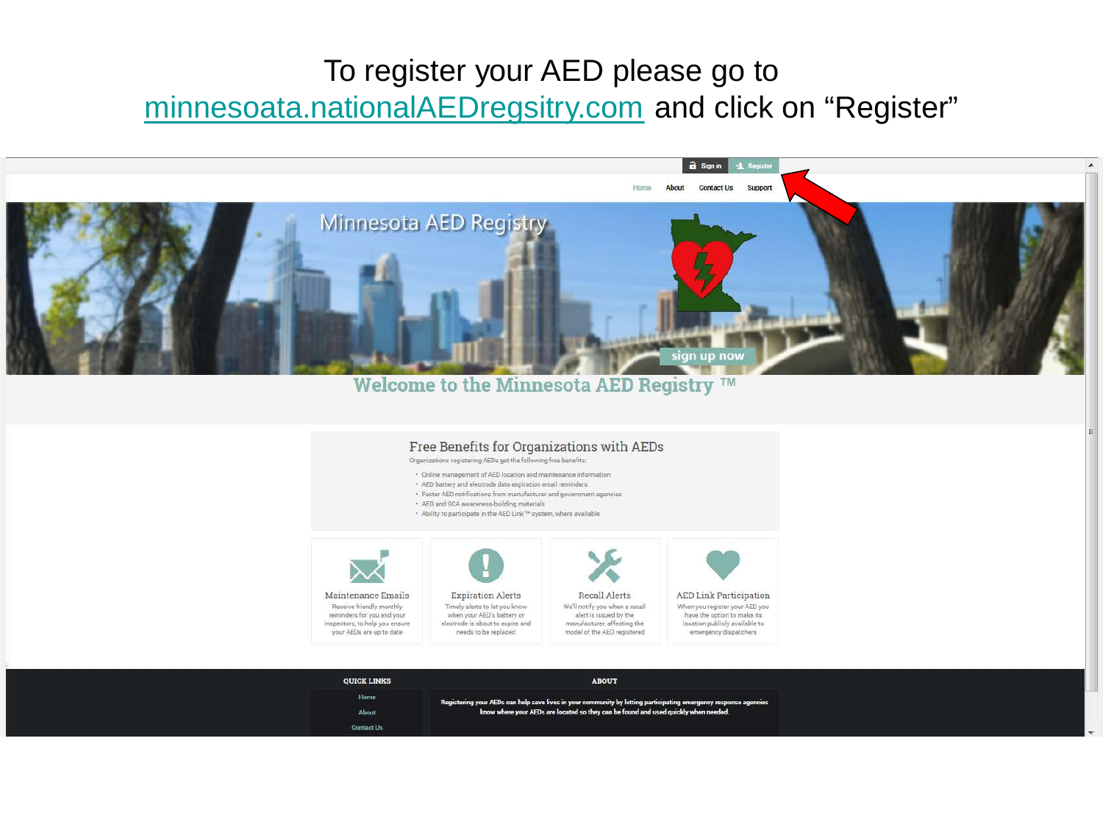# To register your AED please go to minnesoata.nationalAEDregsitry.com and click on "Register"

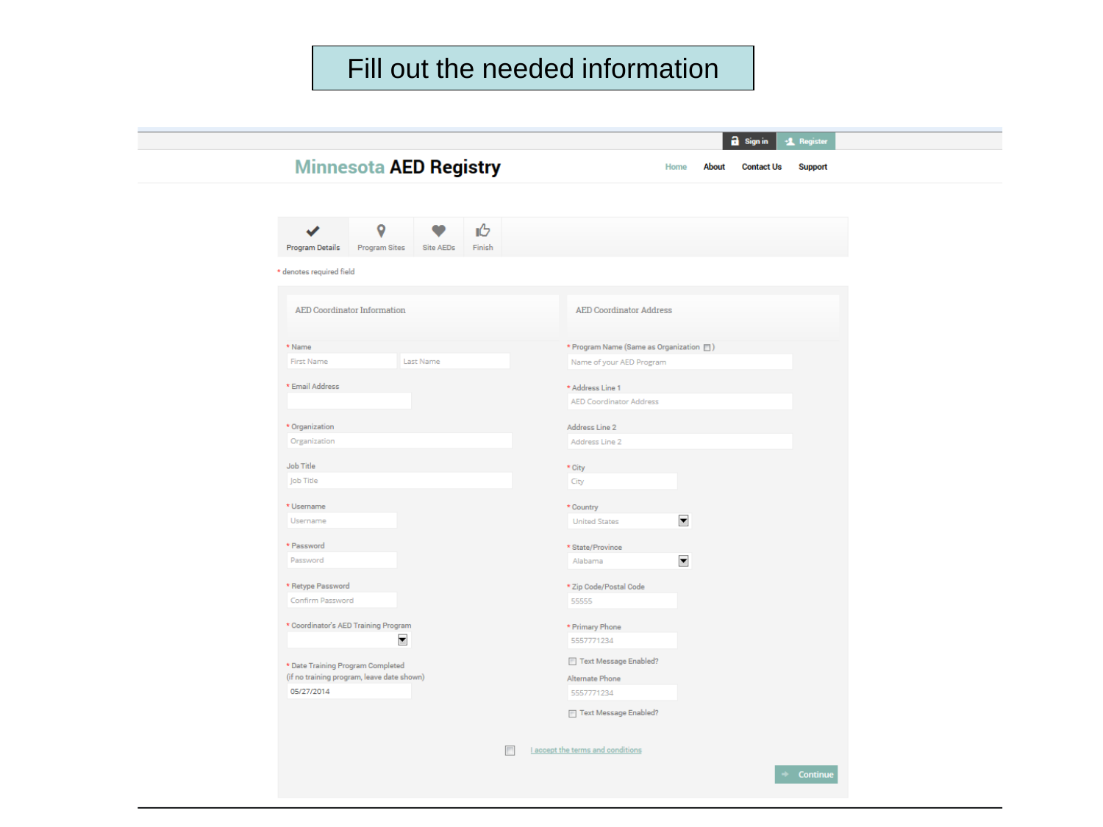# Fill out the needed information

|                                                                                 |        |                                           |                      | $\frac{1}{\ln 2}$ Sign in | <b>1</b> Register |
|---------------------------------------------------------------------------------|--------|-------------------------------------------|----------------------|---------------------------|-------------------|
| <b>Minnesota AED Registry</b>                                                   |        |                                           | <b>About</b><br>Home | <b>Contact Us</b>         | <b>Support</b>    |
|                                                                                 |        |                                           |                      |                           |                   |
| 9                                                                               | ıĜ     |                                           |                      |                           |                   |
| Program Details<br>Program Sites<br>Site AEDs                                   | Finish |                                           |                      |                           |                   |
| * denotes required field                                                        |        |                                           |                      |                           |                   |
|                                                                                 |        |                                           |                      |                           |                   |
| <b>AED Coordinator Information</b>                                              |        | <b>AED Coordinator Address</b>            |                      |                           |                   |
|                                                                                 |        |                                           |                      |                           |                   |
| * Name                                                                          |        | * Program Name (Same as Organization [3]) |                      |                           |                   |
| <b>First Name</b><br><b>Last Name</b>                                           |        | Name of your AED Program                  |                      |                           |                   |
| * Email Address                                                                 |        | * Address Line 1                          |                      |                           |                   |
|                                                                                 |        | <b>AED Coordinator Address</b>            |                      |                           |                   |
| * Organization                                                                  |        | Address Line 2                            |                      |                           |                   |
| Organization                                                                    |        | Address Line 2                            |                      |                           |                   |
|                                                                                 |        |                                           |                      |                           |                   |
| Job Title<br>Job Title                                                          |        | * City                                    |                      |                           |                   |
|                                                                                 |        | City                                      |                      |                           |                   |
| * Username                                                                      |        | * Country                                 |                      |                           |                   |
| Username                                                                        |        | <b>United States</b>                      | $\blacksquare$       |                           |                   |
| * Password                                                                      |        | * State/Province                          |                      |                           |                   |
| Password                                                                        |        | Alabama                                   | $\blacksquare$       |                           |                   |
| * Retype Password                                                               |        | * Zip Code/Postal Code                    |                      |                           |                   |
| Confirm Password                                                                |        | 55555                                     |                      |                           |                   |
| * Coordinator's AED Training Program                                            |        | * Primary Phone                           |                      |                           |                   |
| $\blacktriangledown$                                                            |        | 5557771234                                |                      |                           |                   |
|                                                                                 |        | Text Message Enabled?                     |                      |                           |                   |
| * Date Training Program Completed<br>(if no training program, leave date shown) |        | Alternate Phone                           |                      |                           |                   |
| 05/27/2014                                                                      |        | 5557771234                                |                      |                           |                   |
|                                                                                 |        | Text Message Enabled?                     |                      |                           |                   |
|                                                                                 |        |                                           |                      |                           |                   |
|                                                                                 | $\Box$ | I accept the terms and conditions         |                      |                           |                   |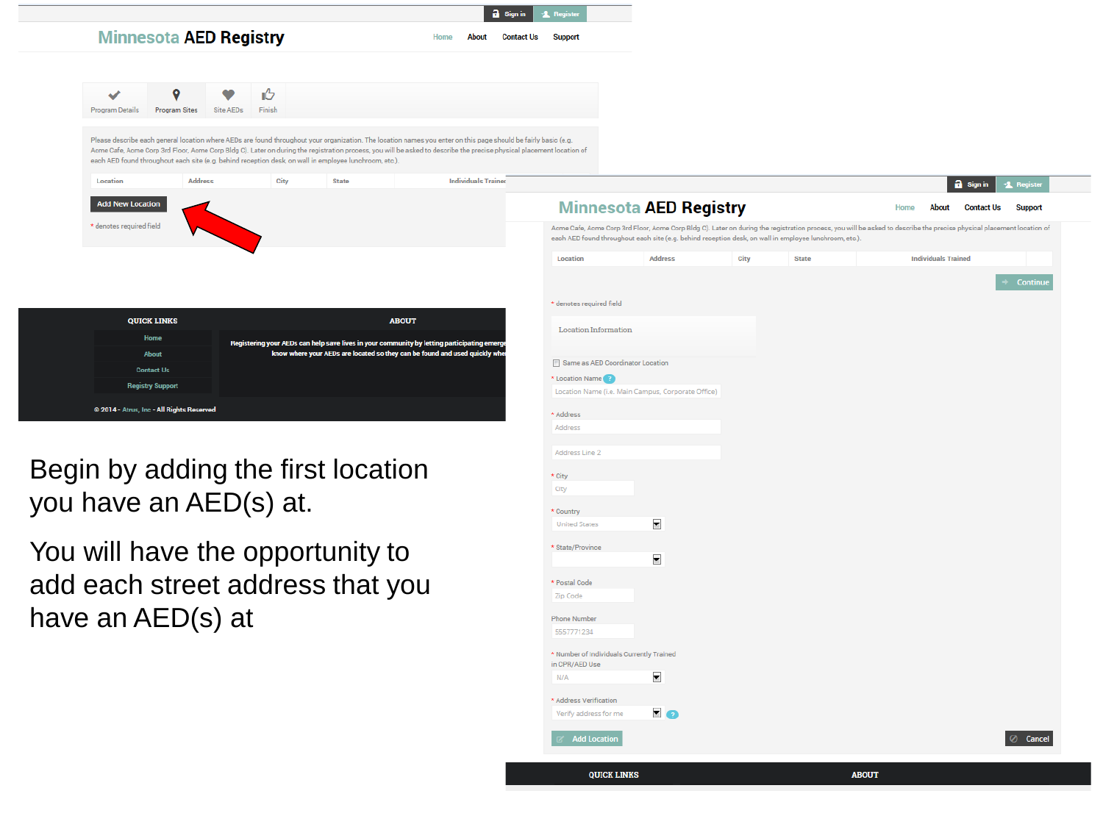|                                                                                                                                                                                                                                                                                                                                                                                                                                                    | а<br>Sian in                              |                                                                                                                                                                                                                                                                                 |
|----------------------------------------------------------------------------------------------------------------------------------------------------------------------------------------------------------------------------------------------------------------------------------------------------------------------------------------------------------------------------------------------------------------------------------------------------|-------------------------------------------|---------------------------------------------------------------------------------------------------------------------------------------------------------------------------------------------------------------------------------------------------------------------------------|
| <b>Minnesota AED Registry</b>                                                                                                                                                                                                                                                                                                                                                                                                                      | <b>About</b><br><b>Contact Us</b><br>Home | <b>Support</b>                                                                                                                                                                                                                                                                  |
|                                                                                                                                                                                                                                                                                                                                                                                                                                                    |                                           |                                                                                                                                                                                                                                                                                 |
| ıĜ<br>پ                                                                                                                                                                                                                                                                                                                                                                                                                                            |                                           |                                                                                                                                                                                                                                                                                 |
| Finish<br>Program Details<br>Program Sites<br>Site AEDs                                                                                                                                                                                                                                                                                                                                                                                            |                                           |                                                                                                                                                                                                                                                                                 |
| Please describe each general location where AEDs are found throughout your organization. The location names you enter on this page should be fairly basic (e.g.<br>Acme Cafe, Acme Corp 3rd Floor, Acme Corp Bldg C). Later on during the registration process, you will be asked to describe the precise physical placement location of<br>each AED found throughout each site (e.g. behind reception desk, on wall in employee lunchroom, etc.). |                                           |                                                                                                                                                                                                                                                                                 |
| Address<br>Location<br>City<br><b>State</b>                                                                                                                                                                                                                                                                                                                                                                                                        | <b>Individuals Trained</b>                | a Sign in                                                                                                                                                                                                                                                                       |
| <b>Add New Location</b>                                                                                                                                                                                                                                                                                                                                                                                                                            |                                           | <b>Minnesota AED Registry</b><br>Home<br>About<br><b>Contact Us</b><br><b>Support</b>                                                                                                                                                                                           |
| * denotes required field                                                                                                                                                                                                                                                                                                                                                                                                                           |                                           | Acme Cafe, Acme Corp 3rd Floor, Acme Corp Bldg C). Later on during the registration process, you will be asked to describe the precise physical placement location of<br>each AED found throughout each site (e.g. behind reception desk, on wall in employee lunchroom, etc.). |
|                                                                                                                                                                                                                                                                                                                                                                                                                                                    |                                           | <b>Address</b><br>City<br><b>Individuals Trained</b><br>Location<br>State                                                                                                                                                                                                       |
|                                                                                                                                                                                                                                                                                                                                                                                                                                                    |                                           | Continu                                                                                                                                                                                                                                                                         |
|                                                                                                                                                                                                                                                                                                                                                                                                                                                    |                                           | * denotes required field                                                                                                                                                                                                                                                        |
| <b>QUICK LINKS</b><br><b>ABOUT</b><br>Home<br>Registering your AEDs can help save lives in your community by letting participating emerg                                                                                                                                                                                                                                                                                                           |                                           | <b>Location Information</b>                                                                                                                                                                                                                                                     |
| know where your AEDs are located so they can be found and used quickly whe<br>About<br><b>Contact Us</b>                                                                                                                                                                                                                                                                                                                                           |                                           | Same as AED Coordinator Location                                                                                                                                                                                                                                                |
| <b>Registry Support</b>                                                                                                                                                                                                                                                                                                                                                                                                                            |                                           | * Location Name 2<br>Location Name (i.e. Main Campus, Corporate Office)                                                                                                                                                                                                         |
| @ 2014 - Atrus, Inc - All Rights Reserved                                                                                                                                                                                                                                                                                                                                                                                                          |                                           | * Address                                                                                                                                                                                                                                                                       |
|                                                                                                                                                                                                                                                                                                                                                                                                                                                    |                                           | Address                                                                                                                                                                                                                                                                         |
| Begin by adding the first location                                                                                                                                                                                                                                                                                                                                                                                                                 |                                           | Address Line 2                                                                                                                                                                                                                                                                  |
|                                                                                                                                                                                                                                                                                                                                                                                                                                                    |                                           | * City<br>City                                                                                                                                                                                                                                                                  |
| you have an AED(s) at.                                                                                                                                                                                                                                                                                                                                                                                                                             |                                           | * Country                                                                                                                                                                                                                                                                       |
|                                                                                                                                                                                                                                                                                                                                                                                                                                                    |                                           | <b>United States</b><br>×<br>* State/Province                                                                                                                                                                                                                                   |
| You will have the opportunity to                                                                                                                                                                                                                                                                                                                                                                                                                   |                                           | $\overline{\phantom{a}}$                                                                                                                                                                                                                                                        |
| add each street address that you                                                                                                                                                                                                                                                                                                                                                                                                                   |                                           | * Postal Code<br>Zip Code                                                                                                                                                                                                                                                       |
| have an AED(s) at                                                                                                                                                                                                                                                                                                                                                                                                                                  |                                           | <b>Phone Number</b>                                                                                                                                                                                                                                                             |
|                                                                                                                                                                                                                                                                                                                                                                                                                                                    |                                           | 5557771234                                                                                                                                                                                                                                                                      |
|                                                                                                                                                                                                                                                                                                                                                                                                                                                    |                                           | * Number of Individuals Currently Trained<br>in CPR/AED Use                                                                                                                                                                                                                     |
|                                                                                                                                                                                                                                                                                                                                                                                                                                                    |                                           | $\overline{\phantom{a}}$<br>N/A                                                                                                                                                                                                                                                 |
|                                                                                                                                                                                                                                                                                                                                                                                                                                                    |                                           | * Address Verification<br>$\blacksquare$<br>Verify address for me                                                                                                                                                                                                               |
|                                                                                                                                                                                                                                                                                                                                                                                                                                                    |                                           | <b>Add Locatio</b><br>⊘ Cancel                                                                                                                                                                                                                                                  |
|                                                                                                                                                                                                                                                                                                                                                                                                                                                    |                                           |                                                                                                                                                                                                                                                                                 |
|                                                                                                                                                                                                                                                                                                                                                                                                                                                    |                                           | <b>ABOUT</b><br><b>QUICK LINKS</b>                                                                                                                                                                                                                                              |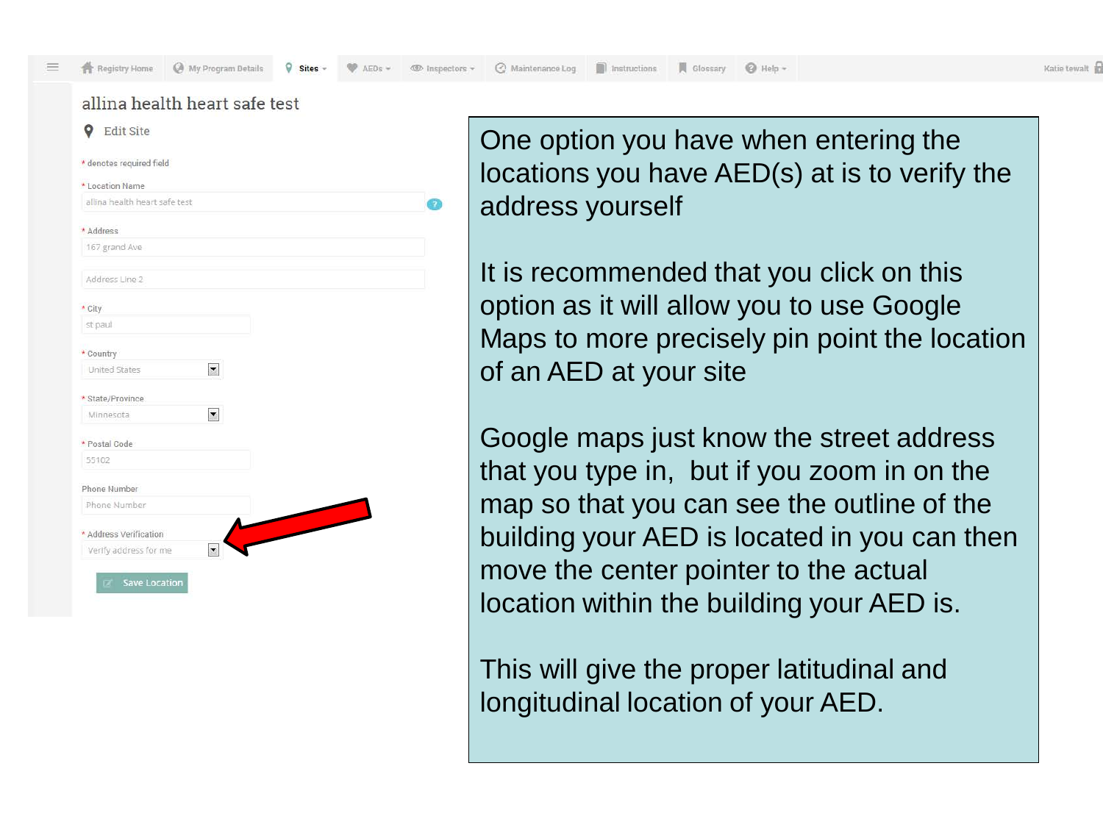

 $\blacktriangledown$ 

 $\blacktriangledown$ 

**Q** Edit Site

\* denotes required field

|  | * Location Name |  |  |
|--|-----------------|--|--|
|  |                 |  |  |

|       |      | allina health heart safe test |
|-------|------|-------------------------------|
| - 200 | - 12 | - 20<br>×                     |

|        |   |   | ï      |    |  |
|--------|---|---|--------|----|--|
|        |   |   |        |    |  |
|        |   |   | Addres |    |  |
| ×<br>S | Ξ | × | ı<br>ï | J. |  |

| ż<br>ï<br>٠ |  |
|-------------|--|
|             |  |
|             |  |
|             |  |

| * City |  |  |  |
|--------|--|--|--|
|        |  |  |  |
|        |  |  |  |

st paul

\* Country

United States

\* State/Province Minnesota

\* Postal Code

55102

Phone Number

Phone Number

\* Address Verification

Verify address for me

**Save Location** 

One option you have when entering the locations you have AED(s) at is to verify the address yourself

It is recommended that you click on this option as it will allow you to use Google Maps to more precisely pin point the location of an AED at your site

Google maps just know the street address that you type in, but if you zoom in on the map so that you can see the outline of the building your AED is located in you can then move the center pointer to the actual location within the building your AED is.

This will give the proper latitudinal and longitudinal location of your AED.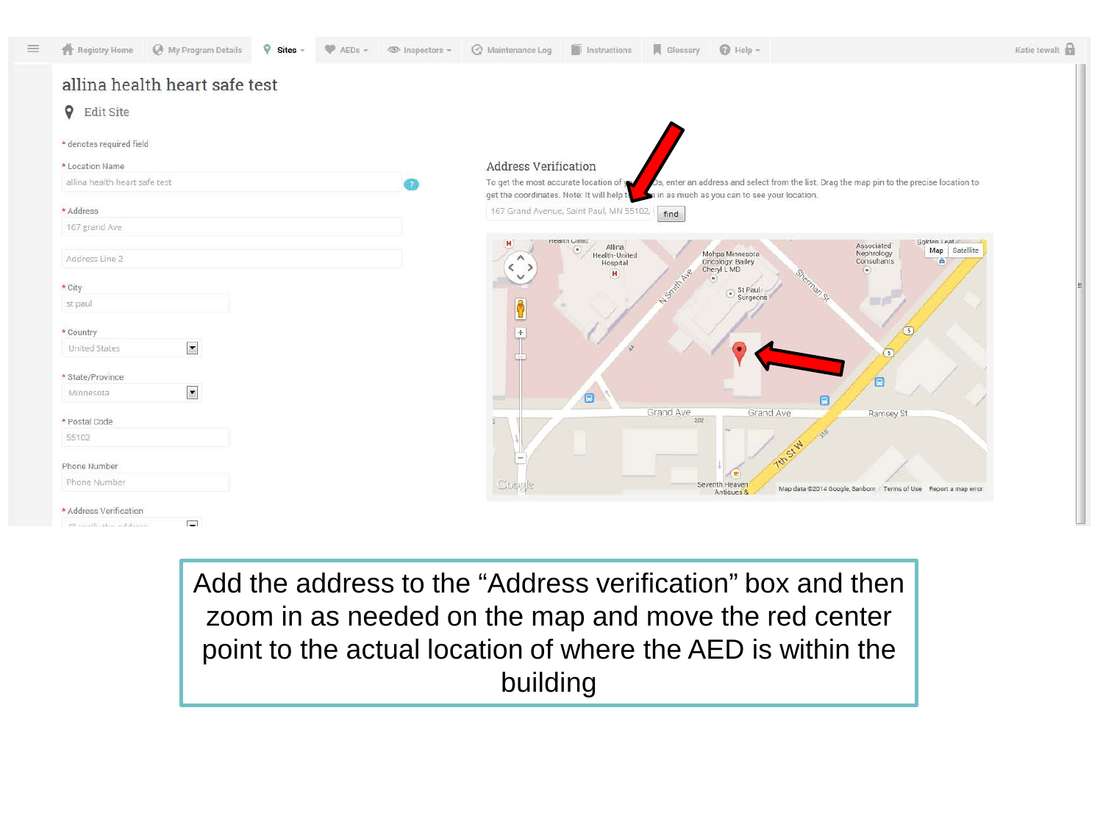| <b>Registry Home</b>           | My Program Details            | Sites - | AEDs = <b>I</b> mspectors = | C Maintenance Log   Instructions               |                                                                                       | Glossary         | $\bigcirc$ Help $\sim$                                                                     |                                                                          |                                   | Katie tewalt |
|--------------------------------|-------------------------------|---------|-----------------------------|------------------------------------------------|---------------------------------------------------------------------------------------|------------------|--------------------------------------------------------------------------------------------|--------------------------------------------------------------------------|-----------------------------------|--------------|
|                                | allina health heart safe test |         |                             |                                                |                                                                                       |                  |                                                                                            |                                                                          |                                   |              |
| <b>Q</b> Edit Site             |                               |         |                             |                                                |                                                                                       |                  |                                                                                            |                                                                          |                                   |              |
| * denotes required field       |                               |         |                             |                                                |                                                                                       |                  |                                                                                            |                                                                          |                                   |              |
| * Location Name                |                               |         |                             | <b>Address Verification</b>                    |                                                                                       |                  |                                                                                            |                                                                          |                                   |              |
| allina health heart safe test  |                               |         | 67.                         | To get the most accurate location of you       |                                                                                       |                  | Os, enter an address and select from the list. Drag the map pin to the precise location to |                                                                          |                                   |              |
| * Address                      |                               |         |                             | get the coordinates. Note: It will help to     | 167 Grand Avenue, Saint Paul, MN 55102,                                               | find             | in as much as you can to see your location.                                                |                                                                          |                                   |              |
| 167 grand Ave                  |                               |         |                             |                                                |                                                                                       |                  |                                                                                            |                                                                          |                                   |              |
| Address Line 2                 |                               |         |                             | (H)<br>$\wedge$<br>$\langle$ ><br>$\checkmark$ | Health Clinic<br>Allina<br>$\left( \bullet \right)$<br>Health-United<br>Hospital<br>н |                  | Mohpa Minnesota<br>Oncology: Bailey<br>Cheryl L MD                                         | Associated<br>Nephrology<br>Consultants<br>$\left( \blacksquare \right)$ | Golden Leaf<br>Map Satellite<br>A |              |
| * City                         |                               |         |                             |                                                |                                                                                       | N-Shitrake       | $\left( n\right)$<br>lerman St.<br>St Paul                                                 |                                                                          |                                   |              |
| st paul                        |                               |         |                             | 6                                              |                                                                                       |                  |                                                                                            | ang i                                                                    |                                   |              |
| * Country                      |                               |         |                             | $\frac{1}{\sqrt{2}}$                           |                                                                                       |                  |                                                                                            |                                                                          |                                   |              |
| United States                  | $\blacktriangledown$          |         |                             | ÷                                              |                                                                                       |                  |                                                                                            |                                                                          |                                   |              |
|                                |                               |         |                             |                                                |                                                                                       |                  |                                                                                            |                                                                          |                                   |              |
| * State/Province               | $\blacktriangledown$          |         |                             |                                                |                                                                                       |                  |                                                                                            | 日                                                                        |                                   |              |
| Minnesota                      |                               |         |                             |                                                | $\qquad \qquad \qquad \qquad \qquad \qquad \qquad \qquad \qquad \qquad$               |                  | $\boldsymbol{\Xi}$                                                                         |                                                                          |                                   |              |
| * Postal Code                  |                               |         |                             |                                                |                                                                                       | Grand Ave<br>202 | Grand Ave                                                                                  | Ramsey St                                                                |                                   |              |
| 55102                          |                               |         |                             |                                                |                                                                                       |                  |                                                                                            |                                                                          |                                   |              |
| Phone Number                   |                               |         |                             |                                                |                                                                                       |                  | <b>Ath</b> Sty                                                                             |                                                                          |                                   |              |
| Phone Number                   |                               |         |                             | Guogle                                         |                                                                                       |                  | Seventh Heaven<br>Antiques &                                                               | Map data @2014 Google, Sanborn   Terms of Use   Report a map error       |                                   |              |
| * Address Verification         |                               |         |                             |                                                |                                                                                       |                  |                                                                                            |                                                                          |                                   |              |
| HI vacation that real develop- | $\blacksquare$                |         |                             |                                                |                                                                                       |                  |                                                                                            |                                                                          |                                   |              |
|                                |                               |         |                             |                                                |                                                                                       |                  |                                                                                            |                                                                          |                                   |              |

Add the address to the "Address verification" box and then zoom in as needed on the map and move the red center point to the actual location of where the AED is within the building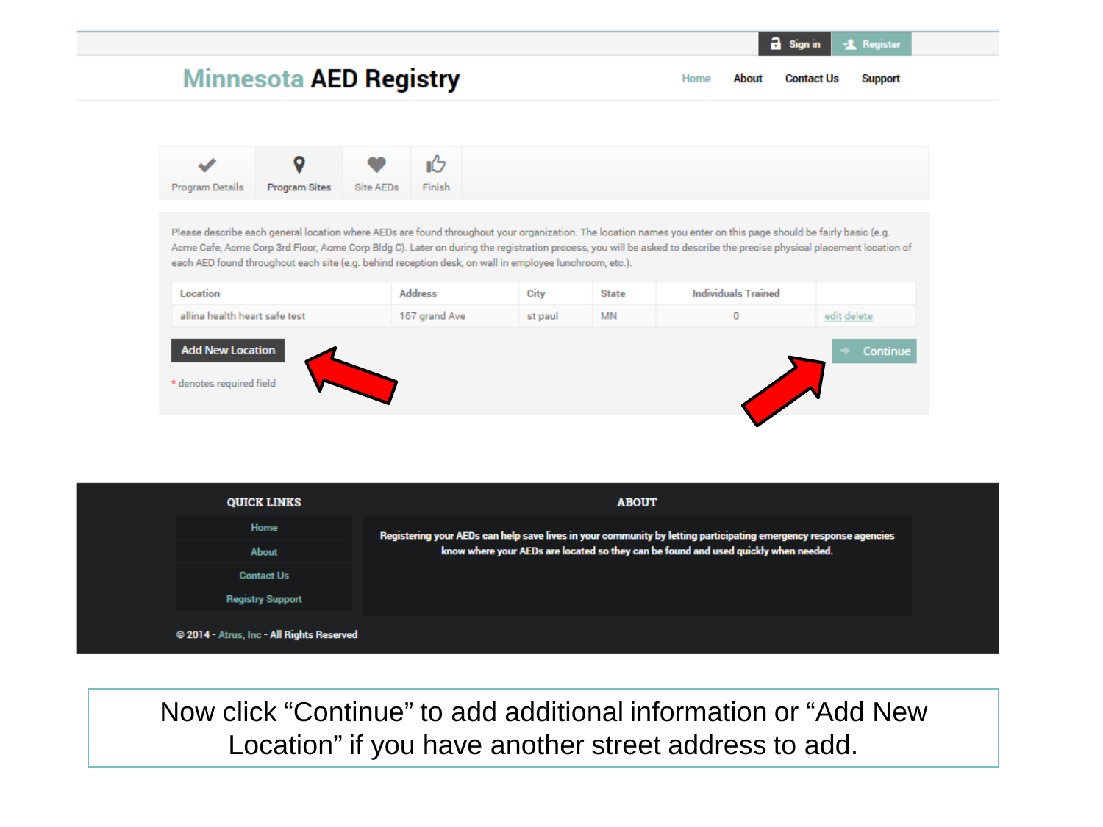| <b>B</b> Sign in | 1. Register |
|------------------|-------------|
|------------------|-------------|

# **Minnesota AED Registry**

**About Contact Us** Home **Support** 

| Program Details                                     | Program Sites | Site AEDs | ל]ו<br>Finish  |                                                                                                        |              |                                                                                                                                                                                                                                                                                                                                          |             |
|-----------------------------------------------------|---------------|-----------|----------------|--------------------------------------------------------------------------------------------------------|--------------|------------------------------------------------------------------------------------------------------------------------------------------------------------------------------------------------------------------------------------------------------------------------------------------------------------------------------------------|-------------|
|                                                     |               |           |                |                                                                                                        |              |                                                                                                                                                                                                                                                                                                                                          |             |
|                                                     |               |           |                | each AED found throughout each site (e.g. behind reception desk, on wall in employee lunchroom, etc.). |              | Please describe each general location where AEDs are found throughout your organization. The location names you enter on this page should be fairly basic (e.g.<br>Acme Cafe, Acme Corp 3rd Floor, Acme Corp Bldg C). Later on during the registration process, you will be asked to describe the precise physical placement location of |             |
| Location                                            |               |           | <b>Address</b> | City                                                                                                   | <b>State</b> | <b>Individuals Trained</b>                                                                                                                                                                                                                                                                                                               |             |
| allina health heart safe test                       |               |           | 167 grand Ave  | st paul                                                                                                | MN           | o                                                                                                                                                                                                                                                                                                                                        | edit delete |
| <b>Add New Location</b><br>* denotes required field |               |           |                |                                                                                                        |              |                                                                                                                                                                                                                                                                                                                                          | Continue    |

| <b>QUICK LINKS</b>                        | <b>ABOUT</b>                                                                                                     |
|-------------------------------------------|------------------------------------------------------------------------------------------------------------------|
| Home                                      | Registering your AEDs can help save lives in your community by letting participating emergency response agencies |
| About                                     | know where your AEDs are located so they can be found and used quickly when needed.                              |
| <b>Contact Us</b>                         |                                                                                                                  |
| <b>Registry Support</b>                   |                                                                                                                  |
| @ 2014 - Atrus, Inc - All Rights Reserved |                                                                                                                  |

Now click "Continue" to add additional information or "Add New Location" if you have another street address to add.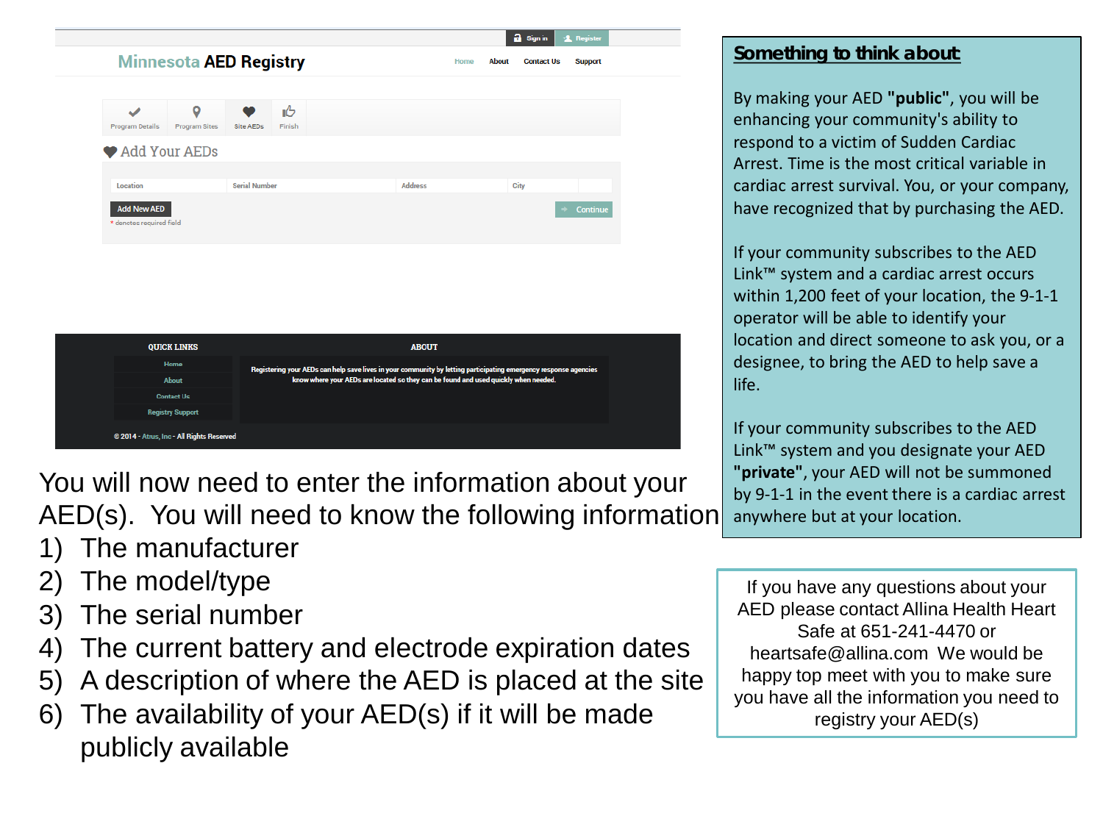|                                                |                                              |                      |              |                                                                                                                                                                                                         |                |              | a Sign in         | <b>L</b> Register |
|------------------------------------------------|----------------------------------------------|----------------------|--------------|---------------------------------------------------------------------------------------------------------------------------------------------------------------------------------------------------------|----------------|--------------|-------------------|-------------------|
|                                                | <b>Minnesota AED Registry</b>                |                      |              |                                                                                                                                                                                                         | Home           | <b>About</b> | <b>Contact Us</b> | <b>Support</b>    |
|                                                |                                              |                      |              |                                                                                                                                                                                                         |                |              |                   |                   |
| م<br><b>Program Details</b>                    | $\bullet$<br><b>Program Sites</b>            | <b>Site AEDs</b>     | ıС<br>Finish |                                                                                                                                                                                                         |                |              |                   |                   |
| Add Your AEDs                                  |                                              |                      |              |                                                                                                                                                                                                         |                |              |                   |                   |
|                                                |                                              |                      |              |                                                                                                                                                                                                         |                |              |                   |                   |
| Location                                       |                                              | <b>Serial Number</b> |              |                                                                                                                                                                                                         | <b>Address</b> |              | City              |                   |
| <b>Add New AED</b><br>* denotes required field |                                              |                      |              |                                                                                                                                                                                                         |                |              |                   | Continue          |
|                                                |                                              |                      |              |                                                                                                                                                                                                         |                |              |                   |                   |
|                                                |                                              |                      |              |                                                                                                                                                                                                         |                |              |                   |                   |
|                                                |                                              |                      |              |                                                                                                                                                                                                         |                |              |                   |                   |
|                                                | <b>QUICK LINKS</b>                           |                      |              |                                                                                                                                                                                                         | <b>ABOUT</b>   |              |                   |                   |
|                                                |                                              |                      |              |                                                                                                                                                                                                         |                |              |                   |                   |
|                                                | Home                                         |                      |              |                                                                                                                                                                                                         |                |              |                   |                   |
|                                                | <b>About</b>                                 |                      |              | Registering your AEDs can help save lives in your community by letting participating emergency response agencies<br>know where your AEDs are located so they can be found and used quickly when needed. |                |              |                   |                   |
|                                                | <b>Contact Us</b><br><b>Registry Support</b> |                      |              |                                                                                                                                                                                                         |                |              |                   |                   |

You will now need to enter the information about your AED(s). You will need to know the following information

- 1) The manufacturer
- 2) The model/type
- 3) The serial number
- 4) The current battery and electrode expiration dates
- 5) A description of where the AED is placed at the site
- 6) The availability of your AED(s) if it will be made publicly available

## **Something to think about**:

By making your AED **"public"**, you will be enhancing your community's ability to respond to a victim of Sudden Cardiac Arrest. Time is the most critical variable in cardiac arrest survival. You, or your company, have recognized that by purchasing the AED.

If your community subscribes to the AED Link™ system and a cardiac arrest occurs within 1,200 feet of your location, the 9-1-1 operator will be able to identify your location and direct someone to ask you, or a designee, to bring the AED to help save a life.

If your community subscribes to the AED Link™ system and you designate your AED **"private"**, your AED will not be summoned by 9-1-1 in the event there is a cardiac arrest anywhere but at your location.

If you have any questions about your AED please contact Allina Health Heart Safe at 651-241-4470 or heartsafe@allina.com We would be happy top meet with you to make sure you have all the information you need to registry your AED(s)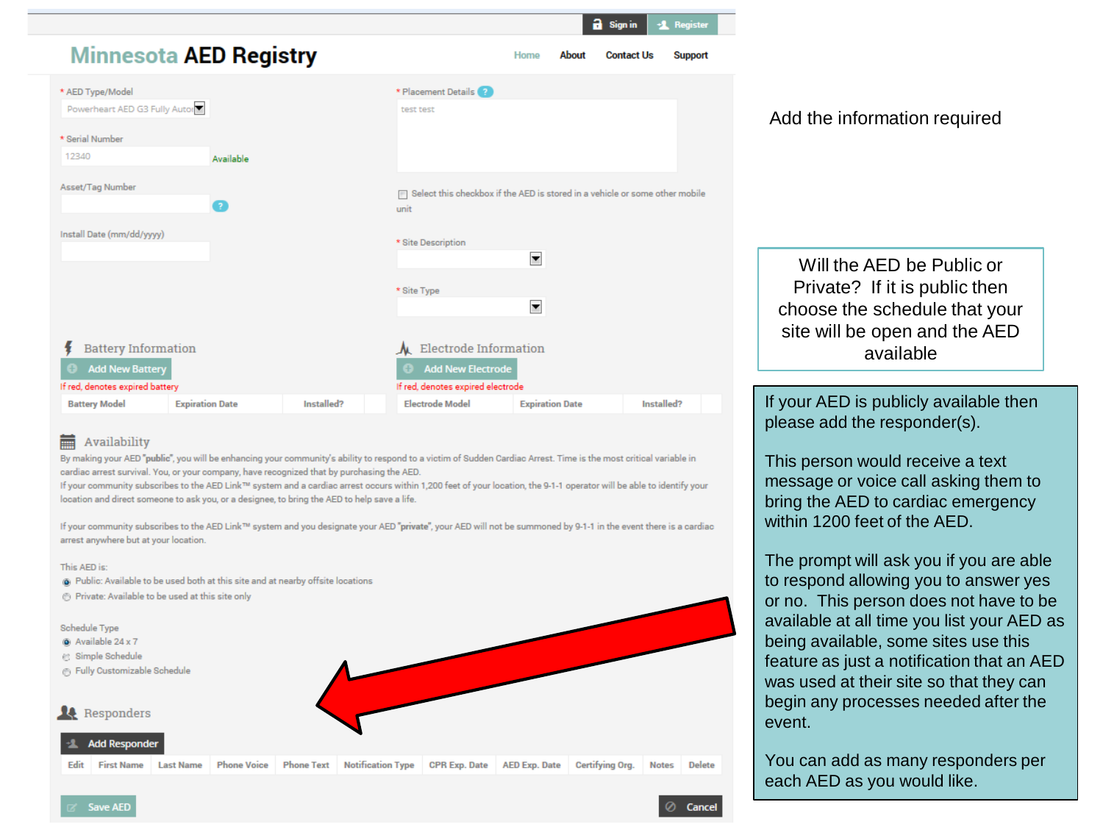|                                 |                               |            |                                                                                     |                        | a Sign in         | <b>1</b> Register |             |
|---------------------------------|-------------------------------|------------|-------------------------------------------------------------------------------------|------------------------|-------------------|-------------------|-------------|
|                                 | <b>Minnesota AED Registry</b> |            |                                                                                     | <b>About</b><br>Home   | <b>Contact Us</b> | <b>Support</b>    |             |
| * AED Type/Model                |                               |            | * Placement Details (?)                                                             |                        |                   |                   |             |
| Powerheart AED G3 Fully Autor   |                               |            | test test                                                                           |                        |                   |                   | Add the in  |
| * Serial Number                 |                               |            |                                                                                     |                        |                   |                   |             |
| 12340                           | Available                     |            |                                                                                     |                        |                   |                   |             |
| Asset/Tag Number                |                               |            |                                                                                     |                        |                   |                   |             |
|                                 | $\overline{?}$                |            | Select this checkbox if the AED is stored in a vehicle or some other mobile<br>unit |                        |                   |                   |             |
|                                 |                               |            |                                                                                     |                        |                   |                   |             |
| Install Date (mm/dd/yyyy)       |                               |            | * Site Description                                                                  |                        |                   |                   |             |
|                                 |                               |            |                                                                                     | $\blacksquare$         |                   |                   | Will the    |
|                                 |                               |            | * Site Type                                                                         |                        |                   |                   | Private     |
|                                 |                               |            |                                                                                     | $\blacksquare$         |                   |                   | choose th   |
|                                 |                               |            |                                                                                     |                        |                   |                   | site will b |
| <b>Battery Information</b>      |                               |            | <b>Electrode Information</b>                                                        |                        |                   |                   |             |
| <b>Add New Battery</b>          |                               |            | <b>Add New Electrode</b>                                                            |                        |                   |                   |             |
| If red, denotes expired battery |                               |            | If red, denotes expired electrode                                                   |                        |                   |                   |             |
| <b>Battery Model</b>            | <b>Expiration Date</b>        | Installed? | <b>Electrode Model</b>                                                              | <b>Expiration Date</b> |                   | Installed?        | If your AED |

### **■** Availability

By making your AED "public", you will be enhancing your community's ability to respond to a victim of Sudden Cardiac Arrest. Time is the most critical variable in cardiac arrest survival. You, or your company, have recognized that by purchasing the AED.

If your community subscribes to the AED Link™ system and a cardiac arrest occurs within 1,200 feet of your location, the 9-1-1 operator will be able to identify your location and direct someone to ask you, or a designee, to bring the AED to help save a life.

If your community subscribes to the AED Link™ system and you designate your AED "private", your AED will not be summoned by 9-1-1 in the event there is a cardiac arrest anywhere but at your location.

#### This AED is:

- . Public: Available to be used both at this site and at nearby offsite locations
- <sup>6</sup> Private: Available to be used at this site only

#### Schedule Type

- @ Available 24 x 7
- *i***nt** Simple Schedule
- **6 Fully Customizable Schedule**

### Responders

### **Add Responder**

|  |  | Edit First Name Last Name Phone Voice Phone Text Notification Type CPR Exp. Date AED Exp. Date Certifying Org. Notes Delete |  |  |  |
|--|--|-----------------------------------------------------------------------------------------------------------------------------|--|--|--|
|  |  |                                                                                                                             |  |  |  |

## formation required

e AED be Public or ? If it is public then he schedule that your be open and the AED available

is publicly available then please add the responder(s).

This person would receive a text message or voice call asking them to bring the AED to cardiac emergency within 1200 feet of the AED.

The prompt will ask you if you are able to respond allowing you to answer yes or no. This person does not have to be available at all time you list your AED as being available, some sites use this feature as just a notification that an AED was used at their site so that they can begin any processes needed after the event.

You can add as many responders per each AED as you would like.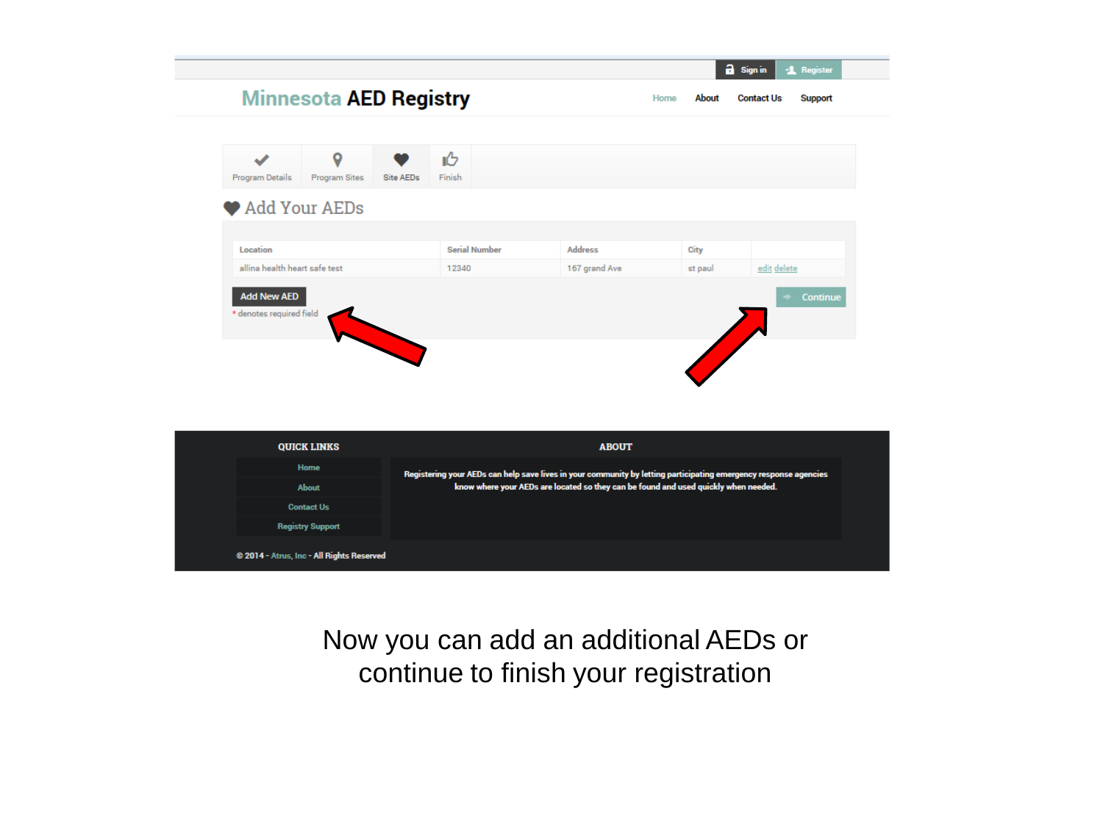

Now you can add an additional AEDs or continue to finish your registration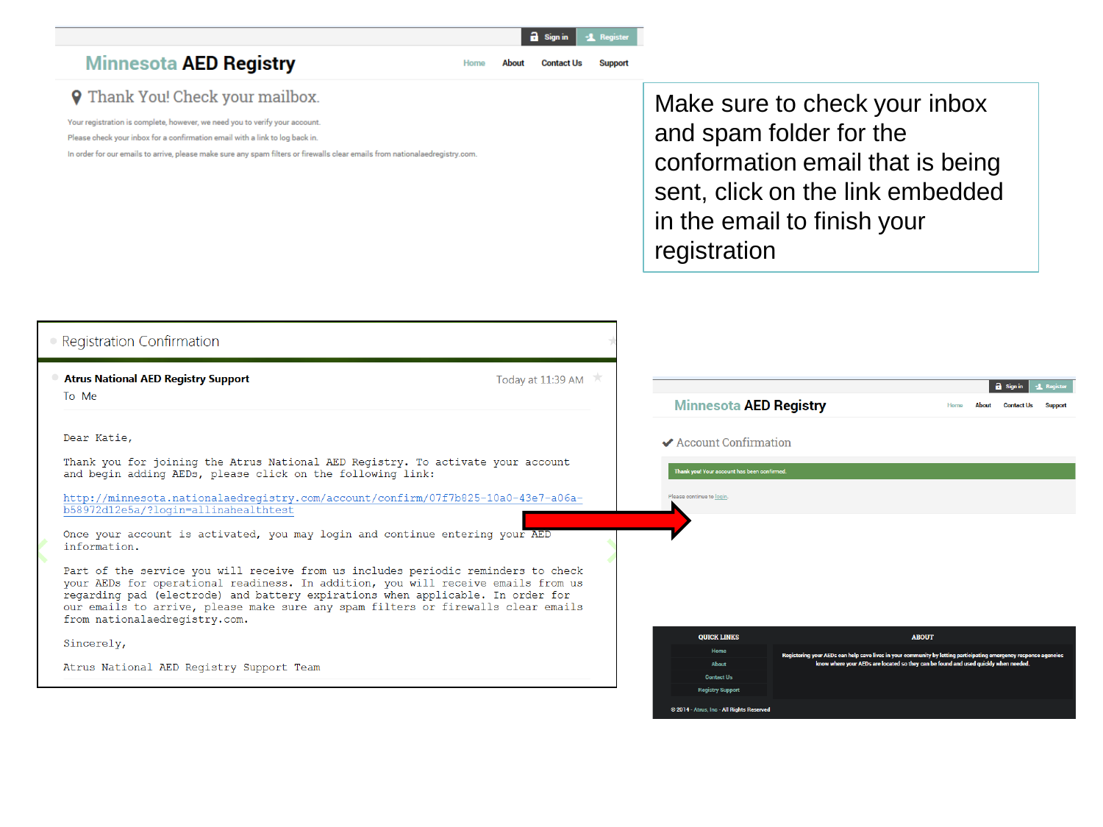## **Minnesota AED Registry**

About **Contact Us Support** 

a.

## **9** Thank You! Check your mailbox.

Your registration is complete, however, we need you to verify your account. Please check your inbox for a confirmation email with a link to log back in.

In order for our emails to arrive, please make sure any spam filters or firewalls clear emails from nationalaedregistry.com.

Make sure to check your inbox and spam folder for the conformation email that is being sent, click on the link embedded in the email to finish your registration

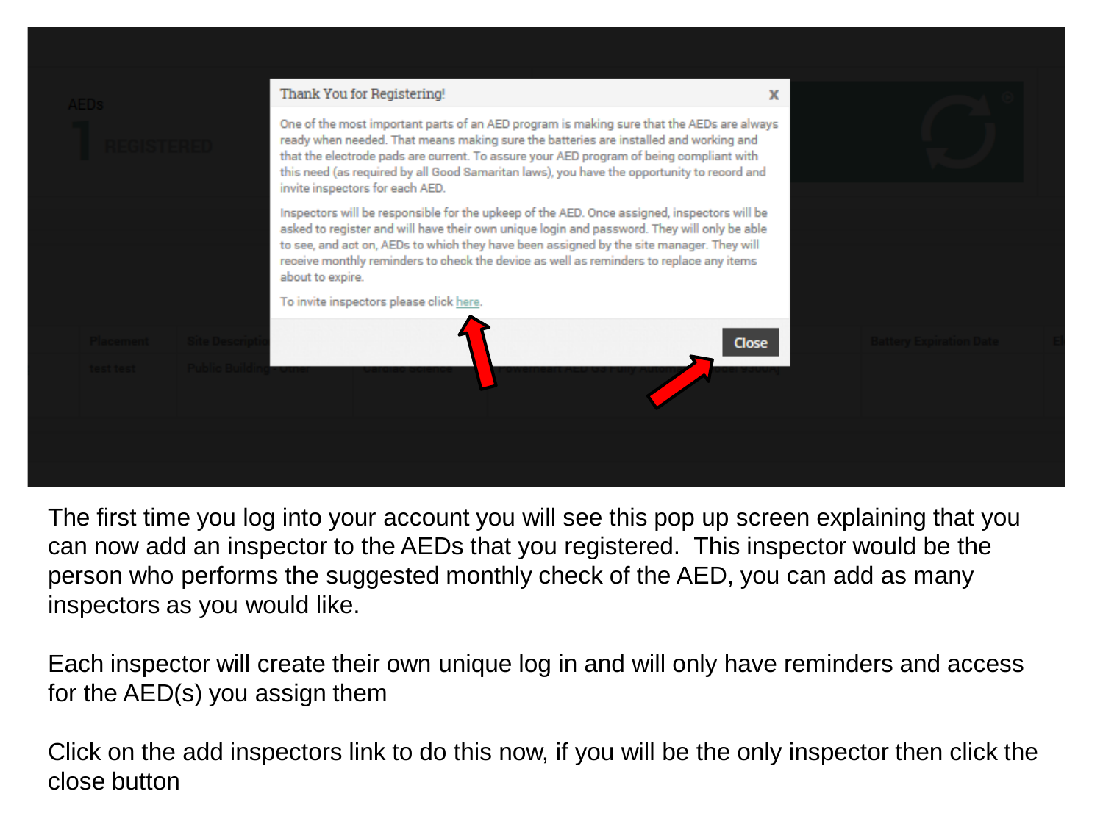

The first time you log into your account you will see this pop up screen explaining that you can now add an inspector to the AEDs that you registered. This inspector would be the person who performs the suggested monthly check of the AED, you can add as many inspectors as you would like.

Each inspector will create their own unique log in and will only have reminders and access for the AED(s) you assign them

Click on the add inspectors link to do this now, if you will be the only inspector then click the close button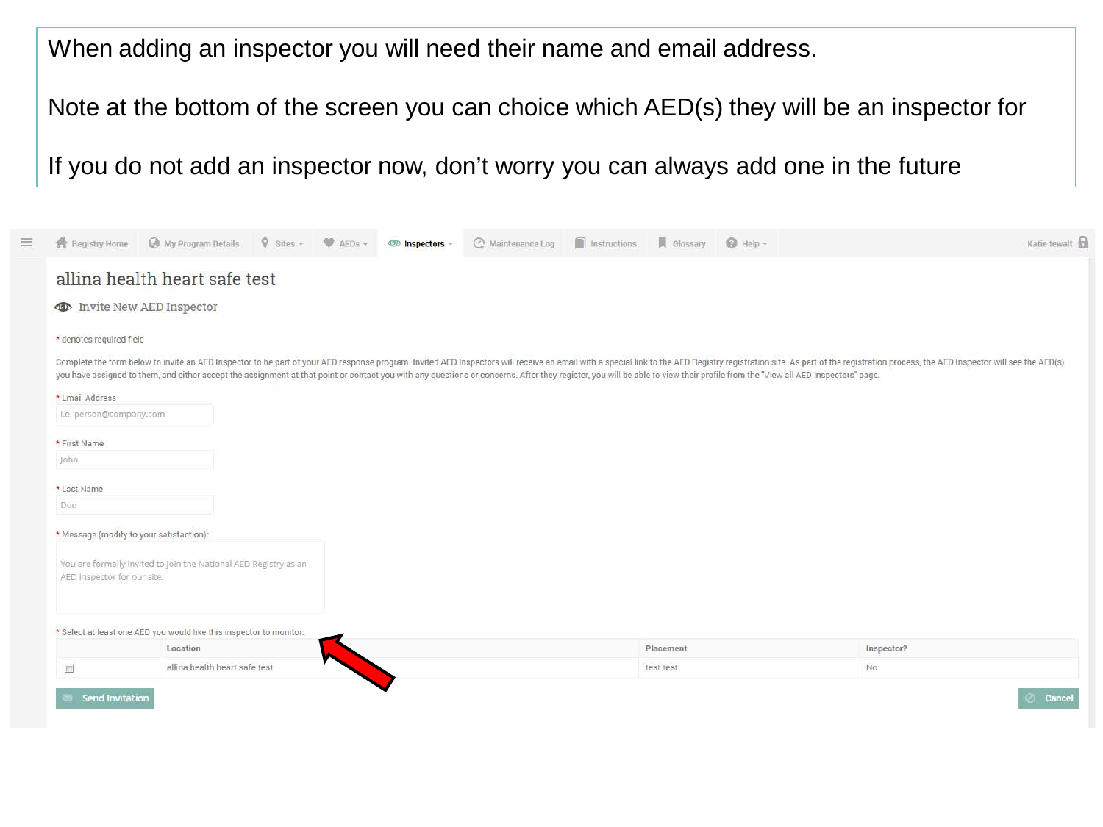## When adding an inspector you will need their name and email address.

Note at the bottom of the screen you can choice which AED(s) they will be an inspector for

If you do not add an inspector now, don't worry you can always add one in the future

| allina health heart safe test<br>Invite New AED Inspector<br>* denotes required field<br>Complete the form below to invite an AED Inspector to be part of your AED response program. Invited AED Inspectors will receive an email with a special link to the AED Registry registration site. As part of the registratio<br>you have assigned to them, and either accept the assignment at that point or contact you with any questions or concerns. After they register, you will be able to view their profile from the "View all AED Inspectors" page.<br>* Email Address<br>i.e. person@company.com<br>* First Name<br>John<br>* Last Name<br>Doe<br>* Message (modify to your satisfaction):<br>You are formally invited to join the National AED Registry as an<br>AED Inspector for our site.<br>* Select at least one AED you would like this inspector to monitor:<br>Location<br>Inspector?<br>Placement<br>allina health heart safe test<br>No<br>$\Box$<br>test test<br><b>Send Invitation</b><br>Cancel | <b>Registry Home</b> | My Program Details | $\sqrt{8}$ Sites $\sim$ $\sqrt{8}$ AEDs $\sim$ | Inspectors - | ⊙ Maintenance Log   Instructions   Glossary ● Help + |  | Katie tewalt |
|---------------------------------------------------------------------------------------------------------------------------------------------------------------------------------------------------------------------------------------------------------------------------------------------------------------------------------------------------------------------------------------------------------------------------------------------------------------------------------------------------------------------------------------------------------------------------------------------------------------------------------------------------------------------------------------------------------------------------------------------------------------------------------------------------------------------------------------------------------------------------------------------------------------------------------------------------------------------------------------------------------------------|----------------------|--------------------|------------------------------------------------|--------------|------------------------------------------------------|--|--------------|
|                                                                                                                                                                                                                                                                                                                                                                                                                                                                                                                                                                                                                                                                                                                                                                                                                                                                                                                                                                                                                     |                      |                    |                                                |              |                                                      |  |              |
|                                                                                                                                                                                                                                                                                                                                                                                                                                                                                                                                                                                                                                                                                                                                                                                                                                                                                                                                                                                                                     |                      |                    |                                                |              |                                                      |  |              |
|                                                                                                                                                                                                                                                                                                                                                                                                                                                                                                                                                                                                                                                                                                                                                                                                                                                                                                                                                                                                                     |                      |                    |                                                |              |                                                      |  |              |
|                                                                                                                                                                                                                                                                                                                                                                                                                                                                                                                                                                                                                                                                                                                                                                                                                                                                                                                                                                                                                     |                      |                    |                                                |              |                                                      |  |              |
|                                                                                                                                                                                                                                                                                                                                                                                                                                                                                                                                                                                                                                                                                                                                                                                                                                                                                                                                                                                                                     |                      |                    |                                                |              |                                                      |  |              |
|                                                                                                                                                                                                                                                                                                                                                                                                                                                                                                                                                                                                                                                                                                                                                                                                                                                                                                                                                                                                                     |                      |                    |                                                |              |                                                      |  |              |
|                                                                                                                                                                                                                                                                                                                                                                                                                                                                                                                                                                                                                                                                                                                                                                                                                                                                                                                                                                                                                     |                      |                    |                                                |              |                                                      |  |              |
|                                                                                                                                                                                                                                                                                                                                                                                                                                                                                                                                                                                                                                                                                                                                                                                                                                                                                                                                                                                                                     |                      |                    |                                                |              |                                                      |  |              |
|                                                                                                                                                                                                                                                                                                                                                                                                                                                                                                                                                                                                                                                                                                                                                                                                                                                                                                                                                                                                                     |                      |                    |                                                |              |                                                      |  |              |
|                                                                                                                                                                                                                                                                                                                                                                                                                                                                                                                                                                                                                                                                                                                                                                                                                                                                                                                                                                                                                     |                      |                    |                                                |              |                                                      |  |              |
|                                                                                                                                                                                                                                                                                                                                                                                                                                                                                                                                                                                                                                                                                                                                                                                                                                                                                                                                                                                                                     |                      |                    |                                                |              |                                                      |  |              |
|                                                                                                                                                                                                                                                                                                                                                                                                                                                                                                                                                                                                                                                                                                                                                                                                                                                                                                                                                                                                                     |                      |                    |                                                |              |                                                      |  |              |
|                                                                                                                                                                                                                                                                                                                                                                                                                                                                                                                                                                                                                                                                                                                                                                                                                                                                                                                                                                                                                     |                      |                    |                                                |              |                                                      |  |              |
|                                                                                                                                                                                                                                                                                                                                                                                                                                                                                                                                                                                                                                                                                                                                                                                                                                                                                                                                                                                                                     |                      |                    |                                                |              |                                                      |  |              |
|                                                                                                                                                                                                                                                                                                                                                                                                                                                                                                                                                                                                                                                                                                                                                                                                                                                                                                                                                                                                                     |                      |                    |                                                |              |                                                      |  |              |
|                                                                                                                                                                                                                                                                                                                                                                                                                                                                                                                                                                                                                                                                                                                                                                                                                                                                                                                                                                                                                     |                      |                    |                                                |              |                                                      |  |              |
|                                                                                                                                                                                                                                                                                                                                                                                                                                                                                                                                                                                                                                                                                                                                                                                                                                                                                                                                                                                                                     |                      |                    |                                                |              |                                                      |  |              |
|                                                                                                                                                                                                                                                                                                                                                                                                                                                                                                                                                                                                                                                                                                                                                                                                                                                                                                                                                                                                                     |                      |                    |                                                |              |                                                      |  |              |
|                                                                                                                                                                                                                                                                                                                                                                                                                                                                                                                                                                                                                                                                                                                                                                                                                                                                                                                                                                                                                     |                      |                    |                                                |              |                                                      |  |              |
|                                                                                                                                                                                                                                                                                                                                                                                                                                                                                                                                                                                                                                                                                                                                                                                                                                                                                                                                                                                                                     |                      |                    |                                                |              |                                                      |  |              |
|                                                                                                                                                                                                                                                                                                                                                                                                                                                                                                                                                                                                                                                                                                                                                                                                                                                                                                                                                                                                                     |                      |                    |                                                |              |                                                      |  |              |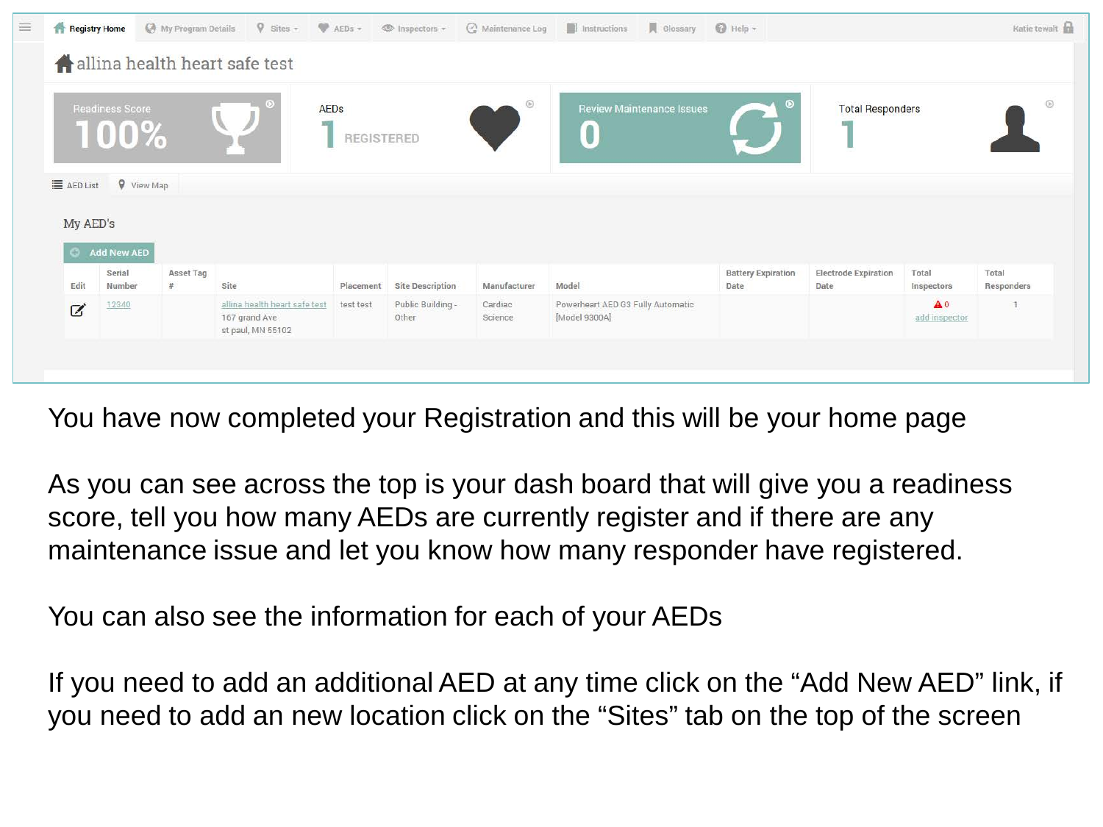|            |                         |                | allina health heart safe test |                           |                            |                    |                                                    |                                   |                                            |                                |                     |
|------------|-------------------------|----------------|-------------------------------|---------------------------|----------------------------|--------------------|----------------------------------------------------|-----------------------------------|--------------------------------------------|--------------------------------|---------------------|
|            | Readiness Score<br>100% |                |                               | AEDs<br><b>REGISTERED</b> |                            | $^{\circ}$         | <b>Review Maintenance Issues</b><br>J              |                                   | <b>Total Responders</b>                    |                                |                     |
| E AED List | <b>View Map</b>         |                |                               |                           |                            |                    |                                                    |                                   |                                            |                                |                     |
|            | My AED's                |                |                               |                           |                            |                    |                                                    |                                   |                                            |                                |                     |
|            | <b>Add New AED</b>      |                |                               |                           |                            |                    |                                                    |                                   |                                            |                                |                     |
|            | Serial<br>Number        | Asset Tag<br># | Site                          | Placement                 | <b>Site Description</b>    | Manufacturer       | Model                                              | <b>Battery Expiration</b><br>Date | <b>Electrode Expiration</b><br><b>Date</b> | Total<br>Inspectors            | Total<br>Responders |
| Edit       |                         |                | allina health heart safe test | test test                 | Public Building -<br>Other | Cardiac<br>Science | Powerheart AED G3 Fully Automatic<br>[Model 9300A] |                                   |                                            | $\triangle$ 0<br>add inspector |                     |

You have now completed your Registration and this will be your home page

As you can see across the top is your dash board that will give you a readiness score, tell you how many AEDs are currently register and if there are any maintenance issue and let you know how many responder have registered.

You can also see the information for each of your AEDs

If you need to add an additional AED at any time click on the "Add New AED" link, if you need to add an new location click on the "Sites" tab on the top of the screen